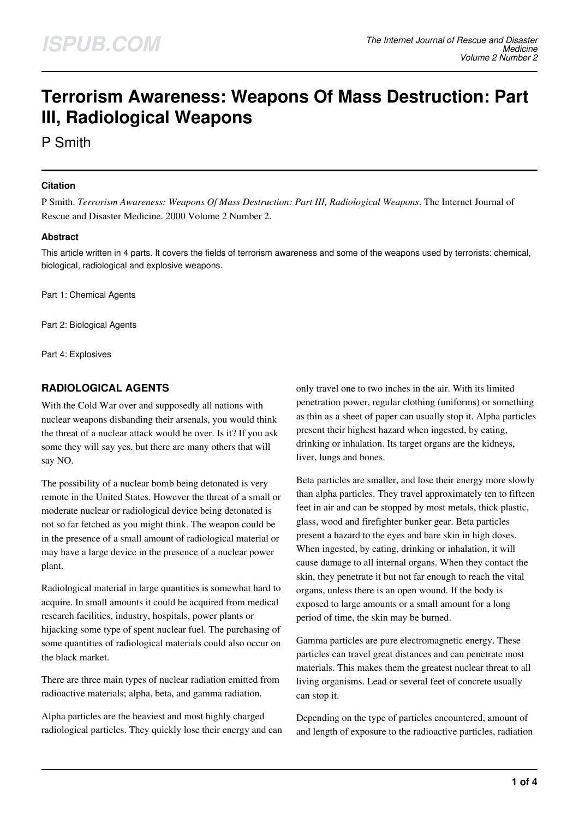# **Terrorism Awareness: Weapons Of Mass Destruction: Part III, Radiological Weapons**

P Smith

#### **Citation**

P Smith. *Terrorism Awareness: Weapons Of Mass Destruction: Part III, Radiological Weapons*. The Internet Journal of Rescue and Disaster Medicine. 2000 Volume 2 Number 2.

## **Abstract**

This article written in 4 parts. It covers the fields of terrorism awareness and some of the weapons used by terrorists: chemical, biological, radiological and explosive weapons.

Part 1: Chemical Agents

Part 2: Biological Agents

Part 4: Explosives

# **RADIOLOGICAL AGENTS**

With the Cold War over and supposedly all nations with nuclear weapons disbanding their arsenals, you would think the threat of a nuclear attack would be over. Is it? If you ask some they will say yes, but there are many others that will say NO.

The possibility of a nuclear bomb being detonated is very remote in the United States. However the threat of a small or moderate nuclear or radiological device being detonated is not so far fetched as you might think. The weapon could be in the presence of a small amount of radiological material or may have a large device in the presence of a nuclear power plant.

Radiological material in large quantities is somewhat hard to acquire. In small amounts it could be acquired from medical research facilities, industry, hospitals, power plants or hijacking some type of spent nuclear fuel. The purchasing of some quantities of radiological materials could also occur on the black market.

There are three main types of nuclear radiation emitted from radioactive materials; alpha, beta, and gamma radiation.

Alpha particles are the heaviest and most highly charged radiological particles. They quickly lose their energy and can only travel one to two inches in the air. With its limited penetration power, regular clothing (uniforms) or something as thin as a sheet of paper can usually stop it. Alpha particles present their highest hazard when ingested, by eating, drinking or inhalation. Its target organs are the kidneys, liver, lungs and bones.

Beta particles are smaller, and lose their energy more slowly than alpha particles. They travel approximately ten to fifteen feet in air and can be stopped by most metals, thick plastic, glass, wood and firefighter bunker gear. Beta particles present a hazard to the eyes and bare skin in high doses. When ingested, by eating, drinking or inhalation, it will cause damage to all internal organs. When they contact the skin, they penetrate it but not far enough to reach the vital organs, unless there is an open wound. If the body is exposed to large amounts or a small amount for a long period of time, the skin may be burned.

Gamma particles are pure electromagnetic energy. These particles can travel great distances and can penetrate most materials. This makes them the greatest nuclear threat to all living organisms. Lead or several feet of concrete usually can stop it.

Depending on the type of particles encountered, amount of and length of exposure to the radioactive particles, radiation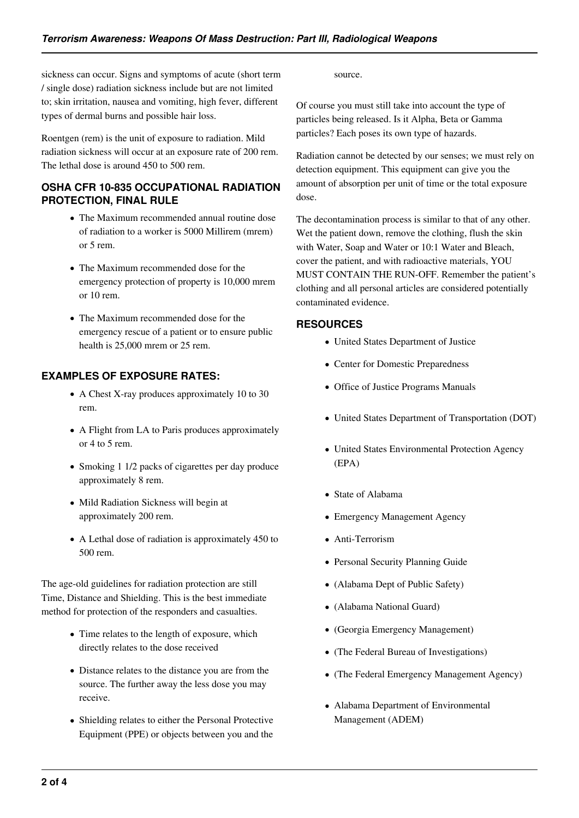sickness can occur. Signs and symptoms of acute (short term / single dose) radiation sickness include but are not limited to; skin irritation, nausea and vomiting, high fever, different types of dermal burns and possible hair loss.

Roentgen (rem) is the unit of exposure to radiation. Mild radiation sickness will occur at an exposure rate of 200 rem. The lethal dose is around 450 to 500 rem.

## **OSHA CFR 10-835 OCCUPATIONAL RADIATION PROTECTION, FINAL RULE**

- The Maximum recommended annual routine dose of radiation to a worker is 5000 Millirem (mrem) or 5 rem.
- The Maximum recommended dose for the emergency protection of property is 10,000 mrem or 10 rem.
- The Maximum recommended dose for the emergency rescue of a patient or to ensure public health is 25,000 mrem or 25 rem.

# **EXAMPLES OF EXPOSURE RATES:**

- A Chest X-ray produces approximately 10 to 30 rem.
- A Flight from LA to Paris produces approximately or 4 to 5 rem.
- Smoking 1 1/2 packs of cigarettes per day produce approximately 8 rem.
- Mild Radiation Sickness will begin at approximately 200 rem.
- A Lethal dose of radiation is approximately 450 to 500 rem.

The age-old guidelines for radiation protection are still Time, Distance and Shielding. This is the best immediate method for protection of the responders and casualties.

- Time relates to the length of exposure, which directly relates to the dose received
- Distance relates to the distance you are from the source. The further away the less dose you may receive.
- Shielding relates to either the Personal Protective Equipment (PPE) or objects between you and the

source.

Of course you must still take into account the type of particles being released. Is it Alpha, Beta or Gamma particles? Each poses its own type of hazards.

Radiation cannot be detected by our senses; we must rely on detection equipment. This equipment can give you the amount of absorption per unit of time or the total exposure dose.

The decontamination process is similar to that of any other. Wet the patient down, remove the clothing, flush the skin with Water, Soap and Water or 10:1 Water and Bleach, cover the patient, and with radioactive materials, YOU MUST CONTAIN THE RUN-OFF. Remember the patient's clothing and all personal articles are considered potentially contaminated evidence.

## **RESOURCES**

- United States Department of Justice
- Center for Domestic Preparedness
- Office of Justice Programs Manuals
- United States Department of Transportation (DOT)
- United States Environmental Protection Agency (EPA)
- State of Alabama
- Emergency Management Agency
- Anti-Terrorism
- Personal Security Planning Guide
- (Alabama Dept of Public Safety)
- (Alabama National Guard)
- (Georgia Emergency Management)
- (The Federal Bureau of Investigations)
- (The Federal Emergency Management Agency)
- Alabama Department of Environmental Management (ADEM)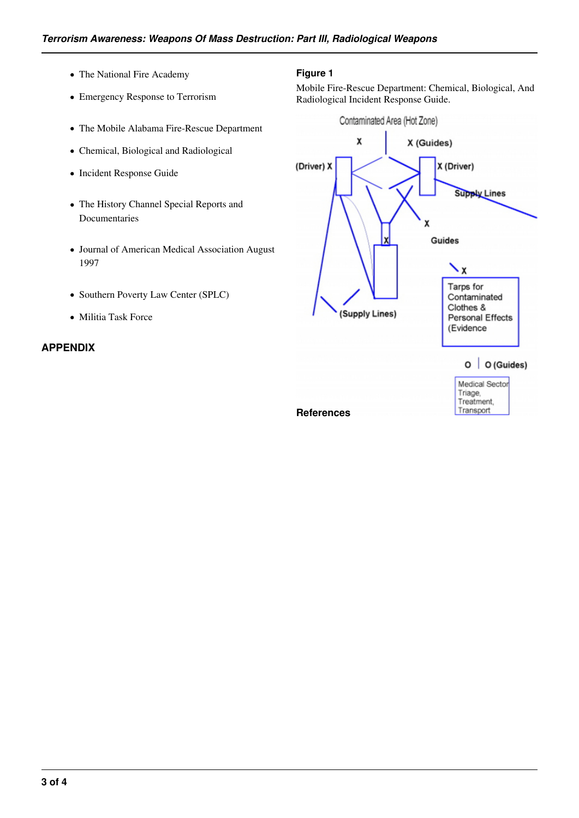- The National Fire Academy
- Emergency Response to Terrorism
- The Mobile Alabama Fire-Rescue Department
- Chemical, Biological and Radiological
- Incident Response Guide
- The History Channel Special Reports and Documentaries
- Journal of American Medical Association August 1997
- Southern Poverty Law Center (SPLC)
- Militia Task Force

#### **APPENDIX**

### **Figure 1**

Mobile Fire-Rescue Department: Chemical, Biological, And Radiological Incident Response Guide.